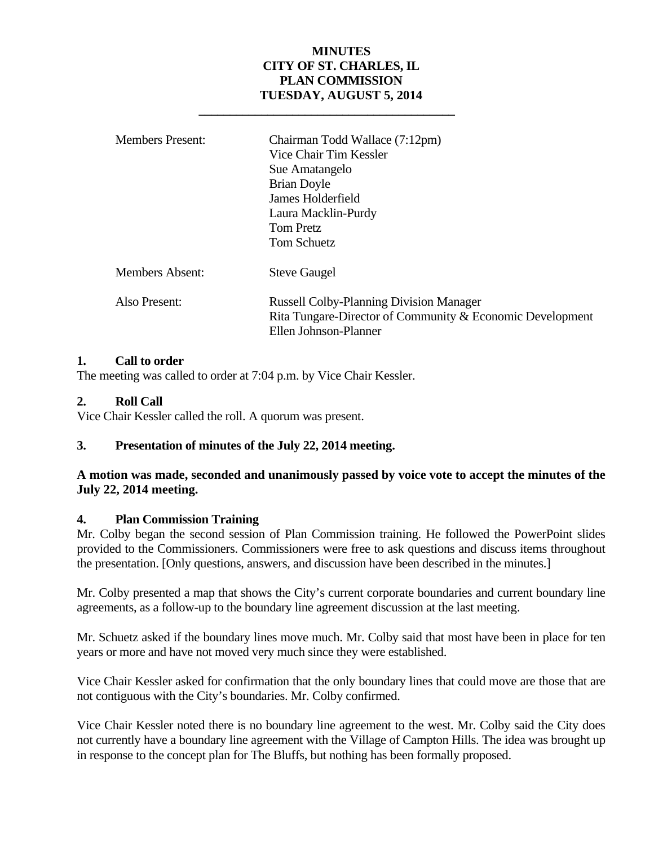# **MINUTES CITY OF ST. CHARLES, IL PLAN COMMISSION TUESDAY, AUGUST 5, 2014**

|               | <b>Members Present:</b> | Chairman Todd Wallace (7:12pm)<br>Vice Chair Tim Kessler<br>Sue Amatangelo<br><b>Brian Doyle</b><br>James Holderfield<br>Laura Macklin-Purdy<br><b>Tom Pretz</b><br>Tom Schuetz |
|---------------|-------------------------|---------------------------------------------------------------------------------------------------------------------------------------------------------------------------------|
|               | Members Absent:         | <b>Steve Gaugel</b>                                                                                                                                                             |
| Also Present: |                         | <b>Russell Colby-Planning Division Manager</b><br>Rita Tungare-Director of Community & Economic Development<br>Ellen Johnson-Planner                                            |

### **1. Call to order**

The meeting was called to order at 7:04 p.m. by Vice Chair Kessler.

 **\_\_\_\_\_\_\_\_\_\_\_\_\_\_\_\_\_\_\_\_\_\_\_\_\_\_\_\_\_\_\_\_\_\_\_\_\_\_\_\_\_** 

### **2. Roll Call**

Vice Chair Kessler called the roll. A quorum was present.

# **3. Presentation of minutes of the July 22, 2014 meeting.**

# **A motion was made, seconded and unanimously passed by voice vote to accept the minutes of the July 22, 2014 meeting.**

### **4. Plan Commission Training**

Mr. Colby began the second session of Plan Commission training. He followed the PowerPoint slides provided to the Commissioners. Commissioners were free to ask questions and discuss items throughout the presentation. [Only questions, answers, and discussion have been described in the minutes.]

Mr. Colby presented a map that shows the City's current corporate boundaries and current boundary line agreements, as a follow-up to the boundary line agreement discussion at the last meeting.

Mr. Schuetz asked if the boundary lines move much. Mr. Colby said that most have been in place for ten years or more and have not moved very much since they were established.

Vice Chair Kessler asked for confirmation that the only boundary lines that could move are those that are not contiguous with the City's boundaries. Mr. Colby confirmed.

Vice Chair Kessler noted there is no boundary line agreement to the west. Mr. Colby said the City does not currently have a boundary line agreement with the Village of Campton Hills. The idea was brought up in response to the concept plan for The Bluffs, but nothing has been formally proposed.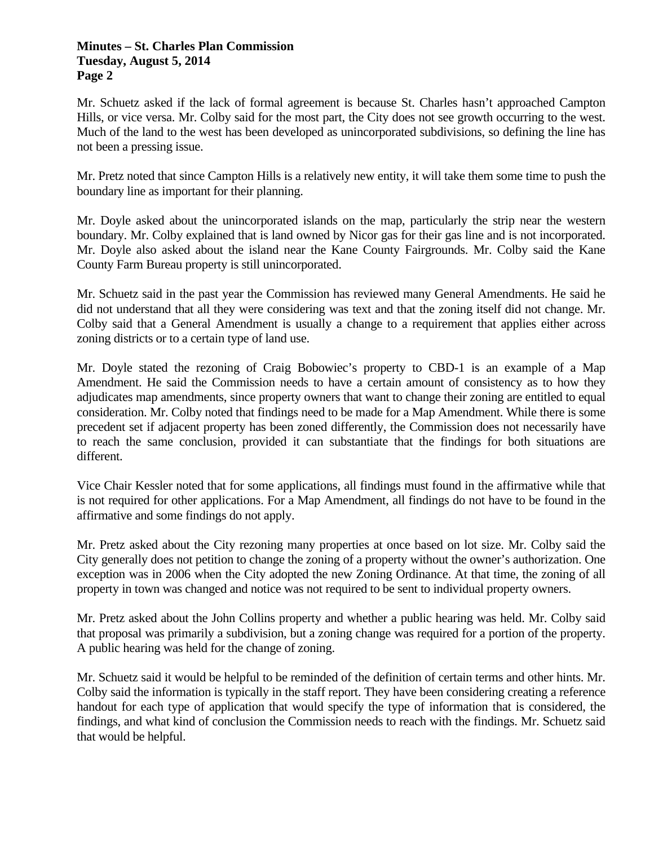Mr. Schuetz asked if the lack of formal agreement is because St. Charles hasn't approached Campton Hills, or vice versa. Mr. Colby said for the most part, the City does not see growth occurring to the west. Much of the land to the west has been developed as unincorporated subdivisions, so defining the line has not been a pressing issue.

Mr. Pretz noted that since Campton Hills is a relatively new entity, it will take them some time to push the boundary line as important for their planning.

Mr. Doyle asked about the unincorporated islands on the map, particularly the strip near the western boundary. Mr. Colby explained that is land owned by Nicor gas for their gas line and is not incorporated. Mr. Doyle also asked about the island near the Kane County Fairgrounds. Mr. Colby said the Kane County Farm Bureau property is still unincorporated.

Mr. Schuetz said in the past year the Commission has reviewed many General Amendments. He said he did not understand that all they were considering was text and that the zoning itself did not change. Mr. Colby said that a General Amendment is usually a change to a requirement that applies either across zoning districts or to a certain type of land use.

Mr. Doyle stated the rezoning of Craig Bobowiec's property to CBD-1 is an example of a Map Amendment. He said the Commission needs to have a certain amount of consistency as to how they adjudicates map amendments, since property owners that want to change their zoning are entitled to equal consideration. Mr. Colby noted that findings need to be made for a Map Amendment. While there is some precedent set if adjacent property has been zoned differently, the Commission does not necessarily have to reach the same conclusion, provided it can substantiate that the findings for both situations are different.

Vice Chair Kessler noted that for some applications, all findings must found in the affirmative while that is not required for other applications. For a Map Amendment, all findings do not have to be found in the affirmative and some findings do not apply.

Mr. Pretz asked about the City rezoning many properties at once based on lot size. Mr. Colby said the City generally does not petition to change the zoning of a property without the owner's authorization. One exception was in 2006 when the City adopted the new Zoning Ordinance. At that time, the zoning of all property in town was changed and notice was not required to be sent to individual property owners.

Mr. Pretz asked about the John Collins property and whether a public hearing was held. Mr. Colby said that proposal was primarily a subdivision, but a zoning change was required for a portion of the property. A public hearing was held for the change of zoning.

Mr. Schuetz said it would be helpful to be reminded of the definition of certain terms and other hints. Mr. Colby said the information is typically in the staff report. They have been considering creating a reference handout for each type of application that would specify the type of information that is considered, the findings, and what kind of conclusion the Commission needs to reach with the findings. Mr. Schuetz said that would be helpful.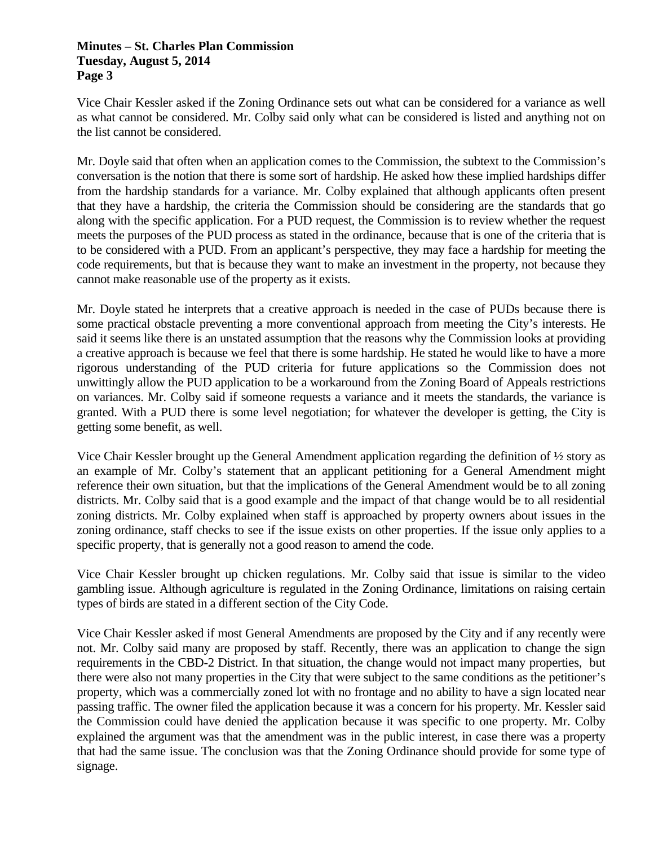Vice Chair Kessler asked if the Zoning Ordinance sets out what can be considered for a variance as well as what cannot be considered. Mr. Colby said only what can be considered is listed and anything not on the list cannot be considered.

Mr. Doyle said that often when an application comes to the Commission, the subtext to the Commission's conversation is the notion that there is some sort of hardship. He asked how these implied hardships differ from the hardship standards for a variance. Mr. Colby explained that although applicants often present that they have a hardship, the criteria the Commission should be considering are the standards that go along with the specific application. For a PUD request, the Commission is to review whether the request meets the purposes of the PUD process as stated in the ordinance, because that is one of the criteria that is to be considered with a PUD. From an applicant's perspective, they may face a hardship for meeting the code requirements, but that is because they want to make an investment in the property, not because they cannot make reasonable use of the property as it exists.

Mr. Doyle stated he interprets that a creative approach is needed in the case of PUDs because there is some practical obstacle preventing a more conventional approach from meeting the City's interests. He said it seems like there is an unstated assumption that the reasons why the Commission looks at providing a creative approach is because we feel that there is some hardship. He stated he would like to have a more rigorous understanding of the PUD criteria for future applications so the Commission does not unwittingly allow the PUD application to be a workaround from the Zoning Board of Appeals restrictions on variances. Mr. Colby said if someone requests a variance and it meets the standards, the variance is granted. With a PUD there is some level negotiation; for whatever the developer is getting, the City is getting some benefit, as well.

Vice Chair Kessler brought up the General Amendment application regarding the definition of ½ story as an example of Mr. Colby's statement that an applicant petitioning for a General Amendment might reference their own situation, but that the implications of the General Amendment would be to all zoning districts. Mr. Colby said that is a good example and the impact of that change would be to all residential zoning districts. Mr. Colby explained when staff is approached by property owners about issues in the zoning ordinance, staff checks to see if the issue exists on other properties. If the issue only applies to a specific property, that is generally not a good reason to amend the code.

Vice Chair Kessler brought up chicken regulations. Mr. Colby said that issue is similar to the video gambling issue. Although agriculture is regulated in the Zoning Ordinance, limitations on raising certain types of birds are stated in a different section of the City Code.

Vice Chair Kessler asked if most General Amendments are proposed by the City and if any recently were not. Mr. Colby said many are proposed by staff. Recently, there was an application to change the sign requirements in the CBD-2 District. In that situation, the change would not impact many properties, but there were also not many properties in the City that were subject to the same conditions as the petitioner's property, which was a commercially zoned lot with no frontage and no ability to have a sign located near passing traffic. The owner filed the application because it was a concern for his property. Mr. Kessler said the Commission could have denied the application because it was specific to one property. Mr. Colby explained the argument was that the amendment was in the public interest, in case there was a property that had the same issue. The conclusion was that the Zoning Ordinance should provide for some type of signage.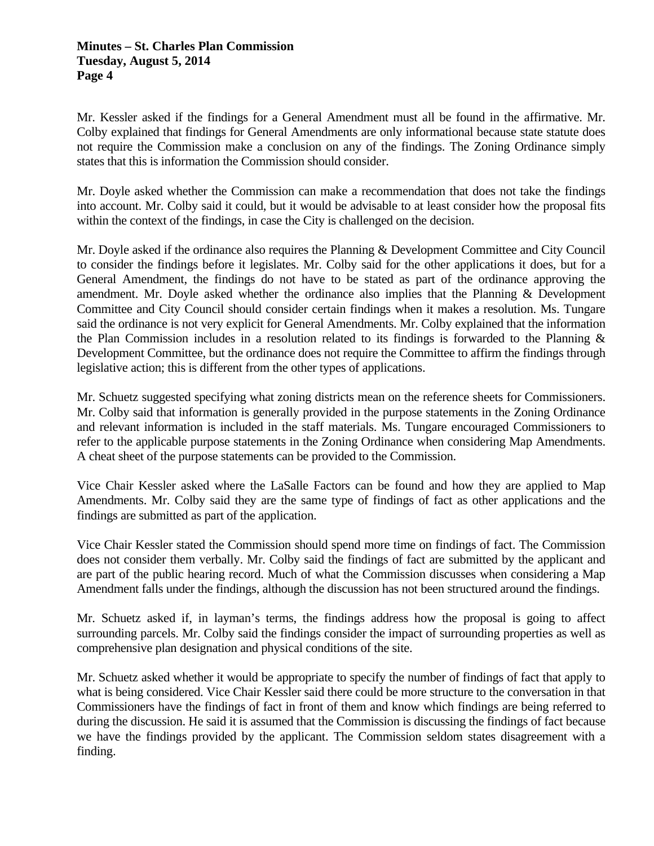Mr. Kessler asked if the findings for a General Amendment must all be found in the affirmative. Mr. Colby explained that findings for General Amendments are only informational because state statute does not require the Commission make a conclusion on any of the findings. The Zoning Ordinance simply states that this is information the Commission should consider.

Mr. Doyle asked whether the Commission can make a recommendation that does not take the findings into account. Mr. Colby said it could, but it would be advisable to at least consider how the proposal fits within the context of the findings, in case the City is challenged on the decision.

Mr. Doyle asked if the ordinance also requires the Planning & Development Committee and City Council to consider the findings before it legislates. Mr. Colby said for the other applications it does, but for a General Amendment, the findings do not have to be stated as part of the ordinance approving the amendment. Mr. Doyle asked whether the ordinance also implies that the Planning & Development Committee and City Council should consider certain findings when it makes a resolution. Ms. Tungare said the ordinance is not very explicit for General Amendments. Mr. Colby explained that the information the Plan Commission includes in a resolution related to its findings is forwarded to the Planning & Development Committee, but the ordinance does not require the Committee to affirm the findings through legislative action; this is different from the other types of applications.

Mr. Schuetz suggested specifying what zoning districts mean on the reference sheets for Commissioners. Mr. Colby said that information is generally provided in the purpose statements in the Zoning Ordinance and relevant information is included in the staff materials. Ms. Tungare encouraged Commissioners to refer to the applicable purpose statements in the Zoning Ordinance when considering Map Amendments. A cheat sheet of the purpose statements can be provided to the Commission.

Vice Chair Kessler asked where the LaSalle Factors can be found and how they are applied to Map Amendments. Mr. Colby said they are the same type of findings of fact as other applications and the findings are submitted as part of the application.

Vice Chair Kessler stated the Commission should spend more time on findings of fact. The Commission does not consider them verbally. Mr. Colby said the findings of fact are submitted by the applicant and are part of the public hearing record. Much of what the Commission discusses when considering a Map Amendment falls under the findings, although the discussion has not been structured around the findings.

Mr. Schuetz asked if, in layman's terms, the findings address how the proposal is going to affect surrounding parcels. Mr. Colby said the findings consider the impact of surrounding properties as well as comprehensive plan designation and physical conditions of the site.

Mr. Schuetz asked whether it would be appropriate to specify the number of findings of fact that apply to what is being considered. Vice Chair Kessler said there could be more structure to the conversation in that Commissioners have the findings of fact in front of them and know which findings are being referred to during the discussion. He said it is assumed that the Commission is discussing the findings of fact because we have the findings provided by the applicant. The Commission seldom states disagreement with a finding.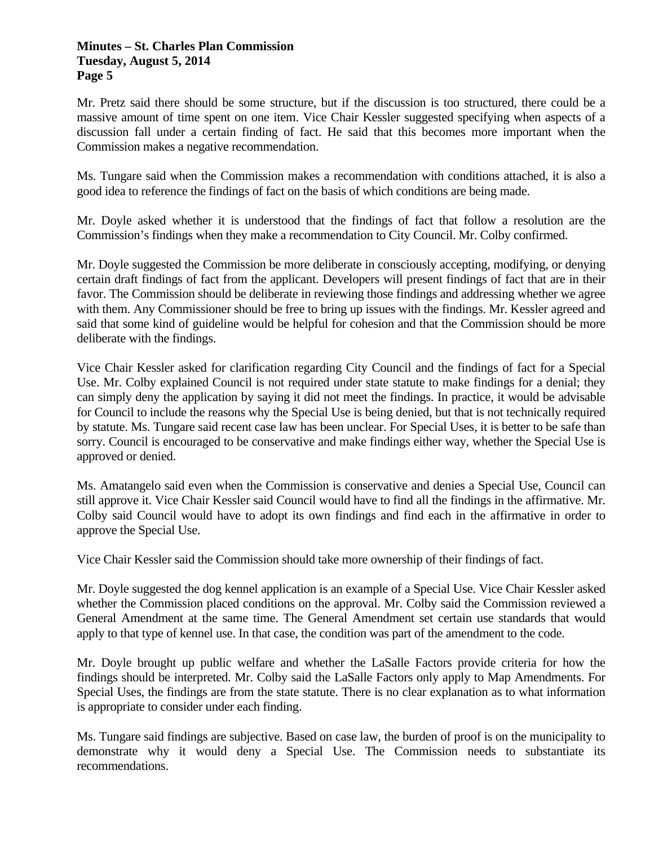Mr. Pretz said there should be some structure, but if the discussion is too structured, there could be a massive amount of time spent on one item. Vice Chair Kessler suggested specifying when aspects of a discussion fall under a certain finding of fact. He said that this becomes more important when the Commission makes a negative recommendation.

Ms. Tungare said when the Commission makes a recommendation with conditions attached, it is also a good idea to reference the findings of fact on the basis of which conditions are being made.

Mr. Doyle asked whether it is understood that the findings of fact that follow a resolution are the Commission's findings when they make a recommendation to City Council. Mr. Colby confirmed.

Mr. Doyle suggested the Commission be more deliberate in consciously accepting, modifying, or denying certain draft findings of fact from the applicant. Developers will present findings of fact that are in their favor. The Commission should be deliberate in reviewing those findings and addressing whether we agree with them. Any Commissioner should be free to bring up issues with the findings. Mr. Kessler agreed and said that some kind of guideline would be helpful for cohesion and that the Commission should be more deliberate with the findings.

Vice Chair Kessler asked for clarification regarding City Council and the findings of fact for a Special Use. Mr. Colby explained Council is not required under state statute to make findings for a denial; they can simply deny the application by saying it did not meet the findings. In practice, it would be advisable for Council to include the reasons why the Special Use is being denied, but that is not technically required by statute. Ms. Tungare said recent case law has been unclear. For Special Uses, it is better to be safe than sorry. Council is encouraged to be conservative and make findings either way, whether the Special Use is approved or denied.

Ms. Amatangelo said even when the Commission is conservative and denies a Special Use, Council can still approve it. Vice Chair Kessler said Council would have to find all the findings in the affirmative. Mr. Colby said Council would have to adopt its own findings and find each in the affirmative in order to approve the Special Use.

Vice Chair Kessler said the Commission should take more ownership of their findings of fact.

Mr. Doyle suggested the dog kennel application is an example of a Special Use. Vice Chair Kessler asked whether the Commission placed conditions on the approval. Mr. Colby said the Commission reviewed a General Amendment at the same time. The General Amendment set certain use standards that would apply to that type of kennel use. In that case, the condition was part of the amendment to the code.

Mr. Doyle brought up public welfare and whether the LaSalle Factors provide criteria for how the findings should be interpreted. Mr. Colby said the LaSalle Factors only apply to Map Amendments. For Special Uses, the findings are from the state statute. There is no clear explanation as to what information is appropriate to consider under each finding.

Ms. Tungare said findings are subjective. Based on case law, the burden of proof is on the municipality to demonstrate why it would deny a Special Use. The Commission needs to substantiate its recommendations.